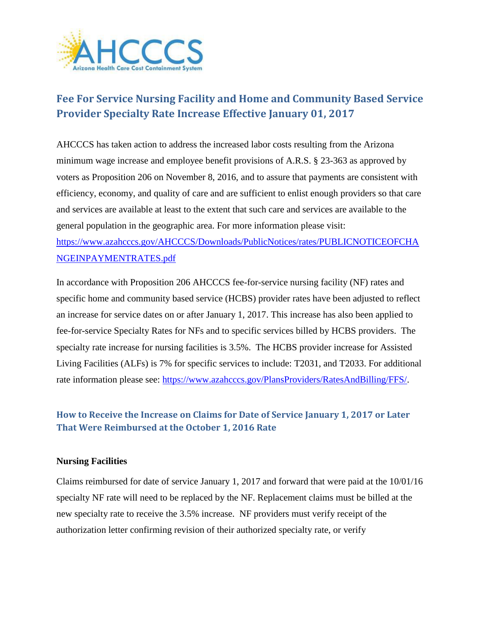

## **Fee For Service Nursing Facility and Home and Community Based Service Provider Specialty Rate Increase Effective January 01, 2017**

AHCCCS has taken action to address the increased labor costs resulting from the Arizona minimum wage increase and employee benefit provisions of A.R.S. § 23-363 as approved by voters as Proposition 206 on November 8, 2016, and to assure that payments are consistent with efficiency, economy, and quality of care and are sufficient to enlist enough providers so that care and services are available at least to the extent that such care and services are available to the general population in the geographic area. For more information please visit: [https://www.azahcccs.gov/AHCCCS/Downloads/PublicNotices/rates/PUBLICNOTICEOFCHA](https://www.azahcccs.gov/AHCCCS/Downloads/PublicNotices/rates/PUBLICNOTICEOFCHANGEINPAYMENTRATES.pdf) [NGEINPAYMENTRATES.pdf](https://www.azahcccs.gov/AHCCCS/Downloads/PublicNotices/rates/PUBLICNOTICEOFCHANGEINPAYMENTRATES.pdf)

In accordance with Proposition 206 AHCCCS fee-for-service nursing facility (NF) rates and specific home and community based service (HCBS) provider rates have been adjusted to reflect an increase for service dates on or after January 1, 2017. This increase has also been applied to fee-for-service Specialty Rates for NFs and to specific services billed by HCBS providers. The specialty rate increase for nursing facilities is 3.5%. The HCBS provider increase for Assisted Living Facilities (ALFs) is 7% for specific services to include: T2031, and T2033. For additional rate information please see: [https://www.azahcccs.gov/PlansProviders/RatesAndBilling/FFS/.](https://www.azahcccs.gov/PlansProviders/RatesAndBilling/FFS/)

## **How to Receive the Increase on Claims for Date of Service January 1, 2017 or Later That Were Reimbursed at the October 1, 2016 Rate**

## **Nursing Facilities**

Claims reimbursed for date of service January 1, 2017 and forward that were paid at the 10/01/16 specialty NF rate will need to be replaced by the NF. Replacement claims must be billed at the new specialty rate to receive the 3.5% increase. NF providers must verify receipt of the authorization letter confirming revision of their authorized specialty rate, or verify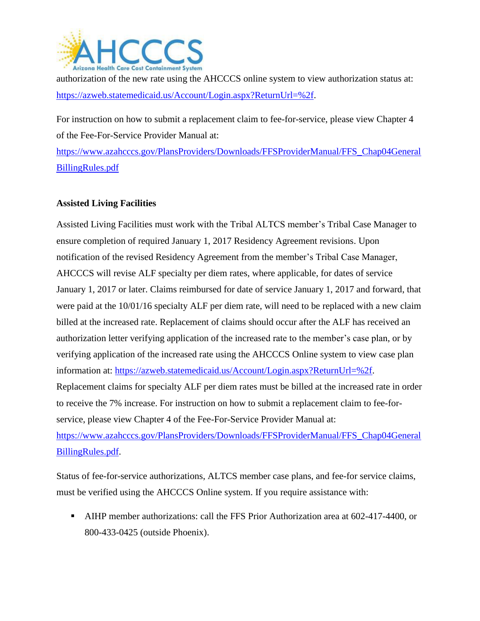

authorization of the new rate using the AHCCCS online system to view authorization status at: [https://azweb.statemedicaid.us/Account/Login.aspx?ReturnUrl=%2f.](https://azweb.statemedicaid.us/Account/Login.aspx?ReturnUrl=%2f)

For instruction on how to submit a replacement claim to fee-for-service, please view Chapter 4 of the Fee-For-Service Provider Manual at:

[https://www.azahcccs.gov/PlansProviders/Downloads/FFSProviderManual/FFS\\_Chap04General](https://www.azahcccs.gov/PlansProviders/Downloads/FFSProviderManual/FFS_Chap04GeneralBillingRules.pdf) [BillingRules.pdf](https://www.azahcccs.gov/PlansProviders/Downloads/FFSProviderManual/FFS_Chap04GeneralBillingRules.pdf)

## **Assisted Living Facilities**

Assisted Living Facilities must work with the Tribal ALTCS member's Tribal Case Manager to ensure completion of required January 1, 2017 Residency Agreement revisions. Upon notification of the revised Residency Agreement from the member's Tribal Case Manager, AHCCCS will revise ALF specialty per diem rates, where applicable, for dates of service January 1, 2017 or later. Claims reimbursed for date of service January 1, 2017 and forward, that were paid at the 10/01/16 specialty ALF per diem rate, will need to be replaced with a new claim billed at the increased rate. Replacement of claims should occur after the ALF has received an authorization letter verifying application of the increased rate to the member's case plan, or by verifying application of the increased rate using the AHCCCS Online system to view case plan information at: [https://azweb.statemedicaid.us/Account/Login.aspx?ReturnUrl=%2f.](https://azweb.statemedicaid.us/Account/Login.aspx?ReturnUrl=%2f) Replacement claims for specialty ALF per diem rates must be billed at the increased rate in order to receive the 7% increase. For instruction on how to submit a replacement claim to fee-forservice, please view Chapter 4 of the Fee-For-Service Provider Manual at: [https://www.azahcccs.gov/PlansProviders/Downloads/FFSProviderManual/FFS\\_Chap04General](https://www.azahcccs.gov/PlansProviders/Downloads/FFSProviderManual/FFS_Chap04GeneralBillingRules.pdf) [BillingRules.pdf.](https://www.azahcccs.gov/PlansProviders/Downloads/FFSProviderManual/FFS_Chap04GeneralBillingRules.pdf)

Status of fee-for-service authorizations, ALTCS member case plans, and fee-for service claims, must be verified using the AHCCCS Online system. If you require assistance with:

 AIHP member authorizations: call the FFS Prior Authorization area at 602-417-4400, or 800-433-0425 (outside Phoenix).